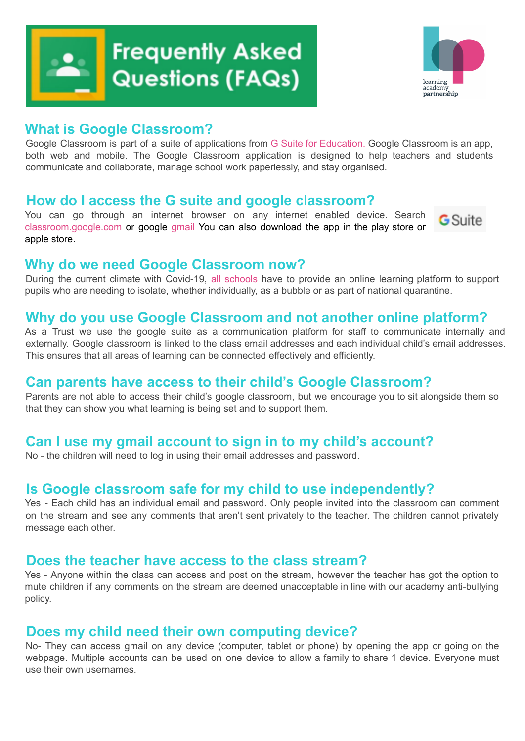

# **Frequently Asked Questions (FAQs)**



## **What is Google Classroom?**

Google Classroom is part of a suite of applications from G Suite for Education. Google Classroom is an app, both web and mobile. The Google Classroom application is designed to help teachers and students communicate and collaborate, manage school work paperlessly, and stay organised.

## **How do I access the G suite and google classroom?**

You can go through an internet browser on any internet enabled device. Search classroom.google.com or google gmail You can also download the app in the play store or apple store.



#### **Why do we need Google Classroom now?**

During the current climate with Covid-19, all schools have to provide an online learning platform to support pupils who are needing to isolate, whether individually, as a bubble or as part of national quarantine.

## **Why do you use Google Classroom and not another online platform?**

As a Trust we use the google suite as a communication platform for staff to communicate internally and externally. Google classroom is linked to the class email addresses and each individual child's email addresses. This ensures that all areas of learning can be connected effectively and efficiently.

## **Can parents have access to their child's Google Classroom?**

Parents are not able to access their child's google classroom, but we encourage you to sit alongside them so that they can show you what learning is being set and to support them.

## **Can I use my gmail account to sign in to my child's account?**

No - the children will need to log in using their email addresses and password.

## **Is Google classroom safe for my child to use independently?**

Yes - Each child has an individual email and password. Only people invited into the classroom can comment on the stream and see any comments that aren't sent privately to the teacher. The children cannot privately message each other.

#### **Does the teacher have access to the class stream?**

Yes - Anyone within the class can access and post on the stream, however the teacher has got the option to mute children if any comments on the stream are deemed unacceptable in line with our academy anti-bullying policy.

#### **Does my child need their own computing device?**

No- They can access gmail on any device (computer, tablet or phone) by opening the app or going on the webpage. Multiple accounts can be used on one device to allow a family to share 1 device. Everyone must use their own usernames.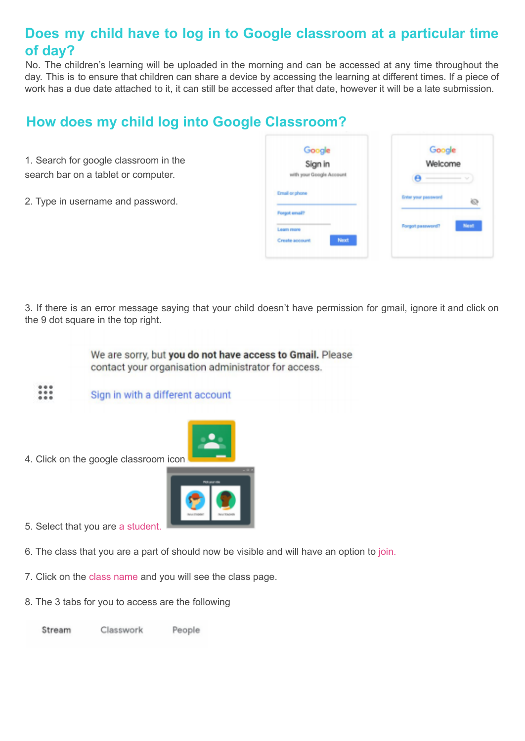# **Does my child have to log in to Google classroom at a particular time of day?**

No. The children's learning will be uploaded in the morning and can be accessed at any time throughout the day. This is to ensure that children can share a device by accessing the learning at different times. If a piece of work has a due date attached to it, it can still be accessed after that date, however it will be a late submission.

## **How does my child log into Google Classroom?**

- 1. Search for google classroom in the search bar on a tablet or computer.
- 2. Type in username and password.

| Google<br>Sign in        | Google<br>Welcome   |        |
|--------------------------|---------------------|--------|
| with your Google Account |                     | $\sim$ |
| <b>Email or phone</b>    | Enter your password | òЭ     |
| Forgot email?            |                     |        |
| Learn mare               | Forgot password?    | Next   |
| Next<br>Create account   |                     |        |

3. If there is an error message saying that your child doesn't have permission for gmail, ignore it and click on the 9 dot square in the top right.

> We are sorry, but you do not have access to Gmail. Please contact your organisation administrator for access.

Sign in with a different account



4. Click on the google classroom icon



- 5. Select that you are a student.
- 6. The class that you are a part of should now be visible and will have an option to join.
- 7. Click on the class name and you will see the class page.
- 8. The 3 tabs for you to access are the following

Stream Classwork People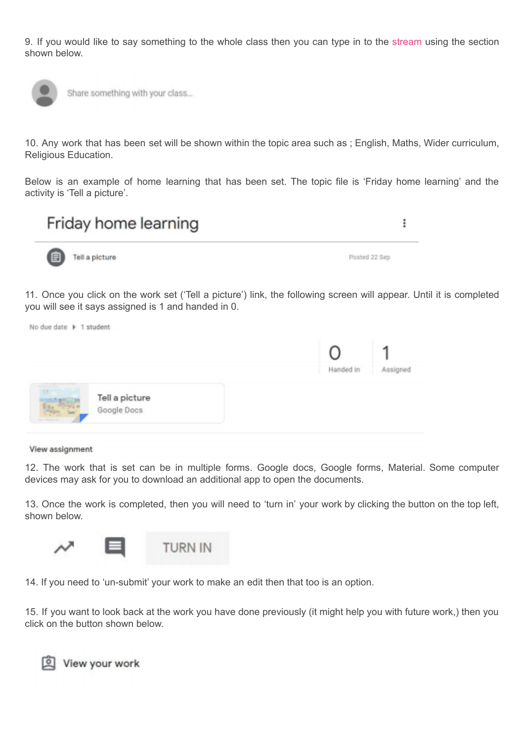9. If you would like to say something to the whole class then you can type in to the stream using the section shown below.



Share something with your class...

10. Any work that has been set will be shown within the topic area such as ; English, Maths, Wider curriculum, Religious Education.

Below is an example of home learning that has been set. The topic file is 'Friday home learning' and the activity is 'Tell a picture'.



11. Once you click on the work set ('Tell a picture') link, the following screen will appear. Until it is completed you will see it says assigned is 1 and handed in 0.

|             |                                      | Handed in | signed |
|-------------|--------------------------------------|-----------|--------|
| 14.4        | <b>Tell a picture</b><br>Google Docs |           |        |
| The Ann and |                                      |           |        |

View assignment

12. The work that is set can be in multiple forms. Google docs, Google forms, Material. Some computer devices may ask for you to download an additional app to open the documents.

13. Once the work is completed, then you will need to 'turn in' your work by clicking the button on the top left, shown below.



14. If you need to 'un-submit' your work to make an edit then that too is an option.

15. If you want to look back at the work you have done previously (it might help you with future work,) then you click on the button shown below.